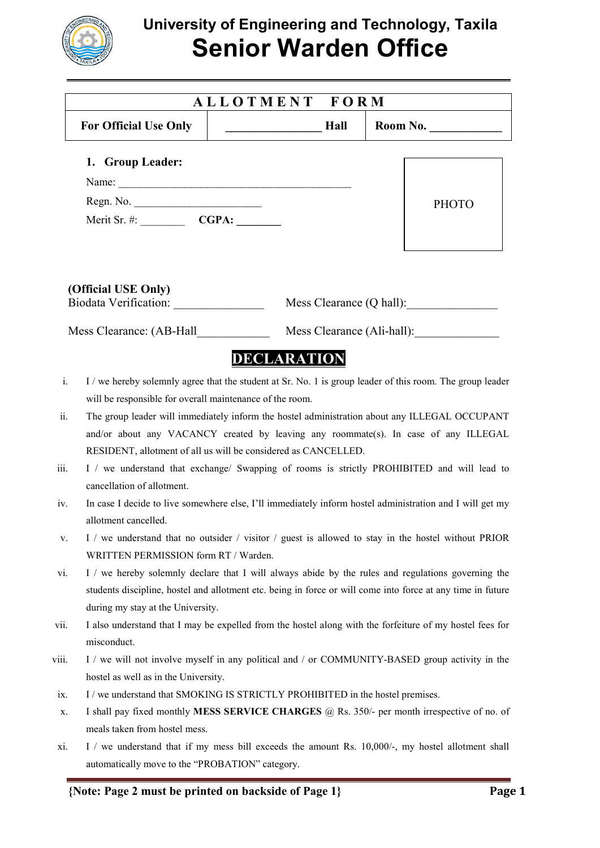

## **University of Engineering and Technology, Taxila Senior Warden Office**

| ALLOTMENT FORM                                               |                                                                                                                            |                                                                                                                                                                                                                                                                                                                                                                                                |
|--------------------------------------------------------------|----------------------------------------------------------------------------------------------------------------------------|------------------------------------------------------------------------------------------------------------------------------------------------------------------------------------------------------------------------------------------------------------------------------------------------------------------------------------------------------------------------------------------------|
| <b>For Official Use Only</b>                                 | Hall                                                                                                                       | Room No. $\qquad \qquad$                                                                                                                                                                                                                                                                                                                                                                       |
| 1. Group Leader:                                             |                                                                                                                            |                                                                                                                                                                                                                                                                                                                                                                                                |
|                                                              | Name:                                                                                                                      |                                                                                                                                                                                                                                                                                                                                                                                                |
|                                                              |                                                                                                                            | <b>PHOTO</b>                                                                                                                                                                                                                                                                                                                                                                                   |
|                                                              |                                                                                                                            |                                                                                                                                                                                                                                                                                                                                                                                                |
| (Official USE Only)                                          |                                                                                                                            | Mess Clearance (Q hall):                                                                                                                                                                                                                                                                                                                                                                       |
| Mess Clearance: (AB-Hall                                     |                                                                                                                            | Mess Clearance (Ali-hall):                                                                                                                                                                                                                                                                                                                                                                     |
|                                                              | <b>DECLARATION</b>                                                                                                         |                                                                                                                                                                                                                                                                                                                                                                                                |
|                                                              |                                                                                                                            | I / we hereby solemnly agree that the student at Sr. No. 1 is group leader of this room. The group leader                                                                                                                                                                                                                                                                                      |
| cancellation of allotment.                                   | will be responsible for overall maintenance of the room.<br>RESIDENT, allotment of all us will be considered as CANCELLED. | The group leader will immediately inform the hostel administration about any ILLEGAL OCCUPANT<br>and/or about any VACANCY created by leaving any roommate(s). In case of any ILLEGAL<br>I / we understand that exchange/ Swapping of rooms is strictly PROHIBITED and will lead to<br>In case I decide to live somewhere else, I'll immediately inform hostel administration and I will get my |
| allotment cancelled.<br>WRITTEN PERMISSION form RT / Warden. |                                                                                                                            | I / we understand that no outsider / visitor / guest is allowed to stay in the hostel without PRIOR                                                                                                                                                                                                                                                                                            |
| during my stay at the University.                            |                                                                                                                            | I / we hereby solemnly declare that I will always abide by the rules and regulations governing the<br>students discipline, hostel and allotment etc. being in force or will come into force at any time in future                                                                                                                                                                              |
| misconduct.                                                  |                                                                                                                            | I also understand that I may be expelled from the hostel along with the forfeiture of my hostel fees for                                                                                                                                                                                                                                                                                       |
| hostel as well as in the University.                         |                                                                                                                            | I / we will not involve myself in any political and / or COMMUNITY-BASED group activity in the                                                                                                                                                                                                                                                                                                 |
|                                                              | I / we understand that SMOKING IS STRICTLY PROHIBITED in the hostel premises.                                              |                                                                                                                                                                                                                                                                                                                                                                                                |
| meals taken from hostel mess.                                |                                                                                                                            | I shall pay fixed monthly MESS SERVICE CHARGES @ Rs. 350/- per month irrespective of no. of                                                                                                                                                                                                                                                                                                    |